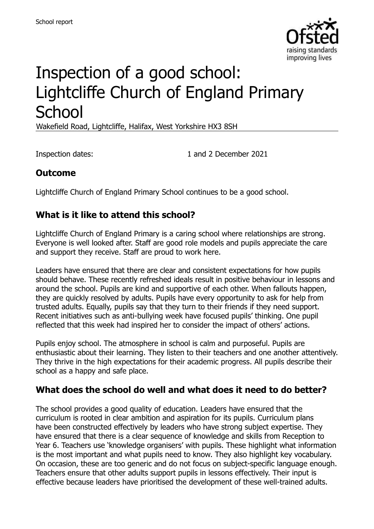

# Inspection of a good school: Lightcliffe Church of England Primary **School**

Wakefield Road, Lightcliffe, Halifax, West Yorkshire HX3 8SH

Inspection dates: 1 and 2 December 2021

## **Outcome**

Lightcliffe Church of England Primary School continues to be a good school.

## **What is it like to attend this school?**

Lightcliffe Church of England Primary is a caring school where relationships are strong. Everyone is well looked after. Staff are good role models and pupils appreciate the care and support they receive. Staff are proud to work here.

Leaders have ensured that there are clear and consistent expectations for how pupils should behave. These recently refreshed ideals result in positive behaviour in lessons and around the school. Pupils are kind and supportive of each other. When fallouts happen, they are quickly resolved by adults. Pupils have every opportunity to ask for help from trusted adults. Equally, pupils say that they turn to their friends if they need support. Recent initiatives such as anti-bullying week have focused pupils' thinking. One pupil reflected that this week had inspired her to consider the impact of others' actions.

Pupils enjoy school. The atmosphere in school is calm and purposeful. Pupils are enthusiastic about their learning. They listen to their teachers and one another attentively. They thrive in the high expectations for their academic progress. All pupils describe their school as a happy and safe place.

## **What does the school do well and what does it need to do better?**

The school provides a good quality of education. Leaders have ensured that the curriculum is rooted in clear ambition and aspiration for its pupils. Curriculum plans have been constructed effectively by leaders who have strong subject expertise. They have ensured that there is a clear sequence of knowledge and skills from Reception to Year 6. Teachers use 'knowledge organisers' with pupils. These highlight what information is the most important and what pupils need to know. They also highlight key vocabulary. On occasion, these are too generic and do not focus on subject-specific language enough. Teachers ensure that other adults support pupils in lessons effectively. Their input is effective because leaders have prioritised the development of these well-trained adults.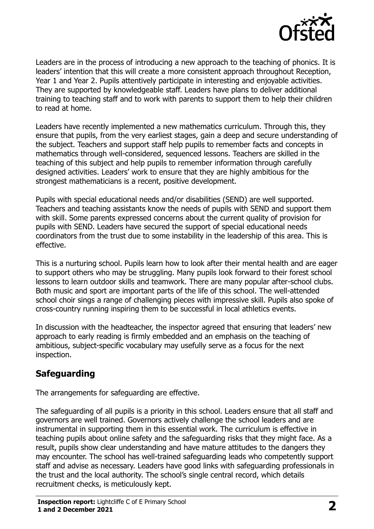

Leaders are in the process of introducing a new approach to the teaching of phonics. It is leaders' intention that this will create a more consistent approach throughout Reception, Year 1 and Year 2. Pupils attentively participate in interesting and enjoyable activities. They are supported by knowledgeable staff. Leaders have plans to deliver additional training to teaching staff and to work with parents to support them to help their children to read at home.

Leaders have recently implemented a new mathematics curriculum. Through this, they ensure that pupils, from the very earliest stages, gain a deep and secure understanding of the subject. Teachers and support staff help pupils to remember facts and concepts in mathematics through well-considered, sequenced lessons. Teachers are skilled in the teaching of this subject and help pupils to remember information through carefully designed activities. Leaders' work to ensure that they are highly ambitious for the strongest mathematicians is a recent, positive development.

Pupils with special educational needs and/or disabilities (SEND) are well supported. Teachers and teaching assistants know the needs of pupils with SEND and support them with skill. Some parents expressed concerns about the current quality of provision for pupils with SEND. Leaders have secured the support of special educational needs coordinators from the trust due to some instability in the leadership of this area. This is effective.

This is a nurturing school. Pupils learn how to look after their mental health and are eager to support others who may be struggling. Many pupils look forward to their forest school lessons to learn outdoor skills and teamwork. There are many popular after-school clubs. Both music and sport are important parts of the life of this school. The well-attended school choir sings a range of challenging pieces with impressive skill. Pupils also spoke of cross-country running inspiring them to be successful in local athletics events.

In discussion with the headteacher, the inspector agreed that ensuring that leaders' new approach to early reading is firmly embedded and an emphasis on the teaching of ambitious, subject-specific vocabulary may usefully serve as a focus for the next inspection.

## **Safeguarding**

The arrangements for safeguarding are effective.

The safeguarding of all pupils is a priority in this school. Leaders ensure that all staff and governors are well trained. Governors actively challenge the school leaders and are instrumental in supporting them in this essential work. The curriculum is effective in teaching pupils about online safety and the safeguarding risks that they might face. As a result, pupils show clear understanding and have mature attitudes to the dangers they may encounter. The school has well-trained safeguarding leads who competently support staff and advise as necessary. Leaders have good links with safeguarding professionals in the trust and the local authority. The school's single central record, which details recruitment checks, is meticulously kept.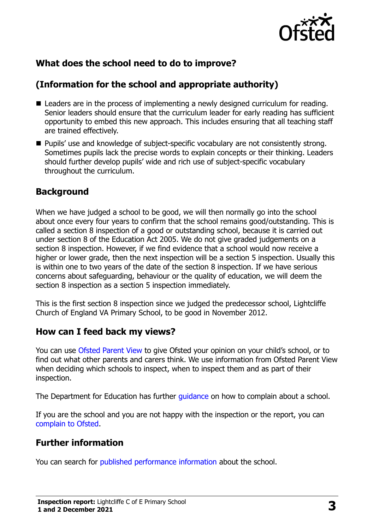

## **What does the school need to do to improve?**

## **(Information for the school and appropriate authority)**

- Leaders are in the process of implementing a newly designed curriculum for reading. Senior leaders should ensure that the curriculum leader for early reading has sufficient opportunity to embed this new approach. This includes ensuring that all teaching staff are trained effectively.
- **Pupils' use and knowledge of subject-specific vocabulary are not consistently strong.** Sometimes pupils lack the precise words to explain concepts or their thinking. Leaders should further develop pupils' wide and rich use of subject-specific vocabulary throughout the curriculum.

### **Background**

When we have judged a school to be good, we will then normally go into the school about once every four years to confirm that the school remains good/outstanding. This is called a section 8 inspection of a good or outstanding school, because it is carried out under section 8 of the Education Act 2005. We do not give graded judgements on a section 8 inspection. However, if we find evidence that a school would now receive a higher or lower grade, then the next inspection will be a section 5 inspection. Usually this is within one to two years of the date of the section 8 inspection. If we have serious concerns about safeguarding, behaviour or the quality of education, we will deem the section 8 inspection as a section 5 inspection immediately.

This is the first section 8 inspection since we judged the predecessor school, Lightcliffe Church of England VA Primary School, to be good in November 2012.

#### **How can I feed back my views?**

You can use [Ofsted Parent View](https://parentview.ofsted.gov.uk/) to give Ofsted your opinion on your child's school, or to find out what other parents and carers think. We use information from Ofsted Parent View when deciding which schools to inspect, when to inspect them and as part of their inspection.

The Department for Education has further quidance on how to complain about a school.

If you are the school and you are not happy with the inspection or the report, you can [complain to Ofsted.](https://www.gov.uk/complain-ofsted-report)

#### **Further information**

You can search for [published performance information](http://www.compare-school-performance.service.gov.uk/) about the school.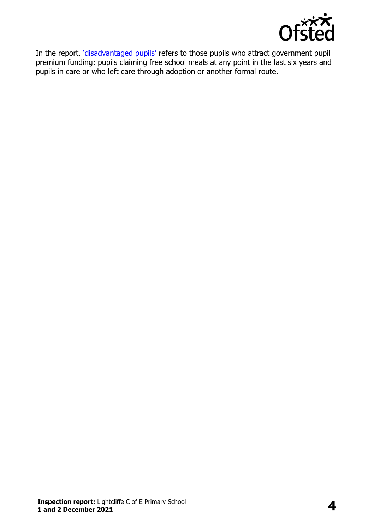

In the report, '[disadvantaged pupils](http://www.gov.uk/guidance/pupil-premium-information-for-schools-and-alternative-provision-settings)' refers to those pupils who attract government pupil premium funding: pupils claiming free school meals at any point in the last six years and pupils in care or who left care through adoption or another formal route.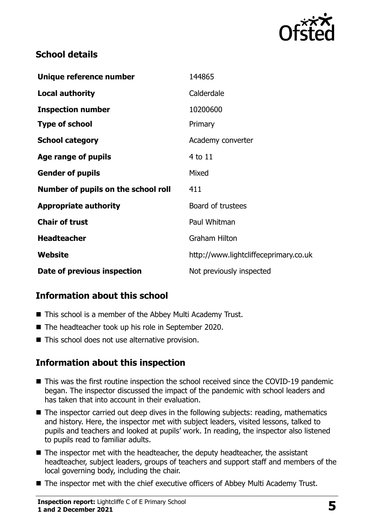

## **School details**

| Unique reference number             | 144865                                |
|-------------------------------------|---------------------------------------|
| <b>Local authority</b>              | Calderdale                            |
| <b>Inspection number</b>            | 10200600                              |
| <b>Type of school</b>               | Primary                               |
| <b>School category</b>              | Academy converter                     |
| Age range of pupils                 | 4 to 11                               |
| <b>Gender of pupils</b>             | Mixed                                 |
| Number of pupils on the school roll | 411                                   |
| <b>Appropriate authority</b>        | Board of trustees                     |
| <b>Chair of trust</b>               | Paul Whitman                          |
| <b>Headteacher</b>                  | <b>Graham Hilton</b>                  |
| Website                             | http://www.lightcliffeceprimary.co.uk |
| Date of previous inspection         | Not previously inspected              |

## **Information about this school**

- This school is a member of the Abbey Multi Academy Trust.
- The headteacher took up his role in September 2020.
- This school does not use alternative provision.

## **Information about this inspection**

- This was the first routine inspection the school received since the COVID-19 pandemic began. The inspector discussed the impact of the pandemic with school leaders and has taken that into account in their evaluation.
- The inspector carried out deep dives in the following subjects: reading, mathematics and history. Here, the inspector met with subject leaders, visited lessons, talked to pupils and teachers and looked at pupils' work. In reading, the inspector also listened to pupils read to familiar adults.
- The inspector met with the headteacher, the deputy headteacher, the assistant headteacher, subject leaders, groups of teachers and support staff and members of the local governing body, including the chair.
- The inspector met with the chief executive officers of Abbey Multi Academy Trust.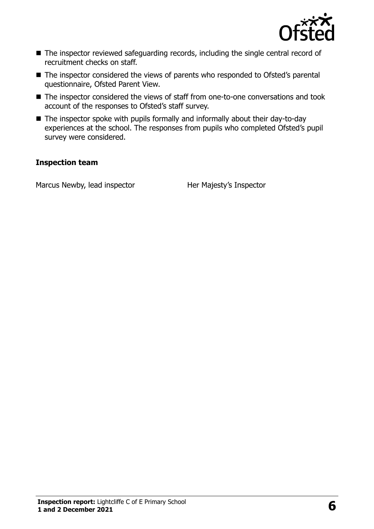

- The inspector reviewed safeguarding records, including the single central record of recruitment checks on staff.
- The inspector considered the views of parents who responded to Ofsted's parental questionnaire, Ofsted Parent View.
- The inspector considered the views of staff from one-to-one conversations and took account of the responses to Ofsted's staff survey.
- The inspector spoke with pupils formally and informally about their day-to-day experiences at the school. The responses from pupils who completed Ofsted's pupil survey were considered.

#### **Inspection team**

Marcus Newby, lead inspector **Her Majesty's Inspector**